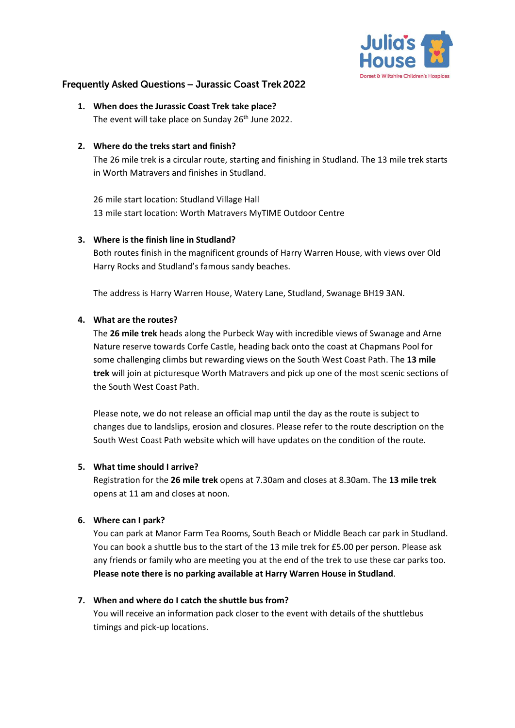

# **Frequently Asked Questions - Jurassic Coast Trek 2022**

**1. When does the Jurassic Coast Trek take place?** The event will take place on Sunday 26<sup>th</sup> June 2022.

#### **2. Where do the treks start and finish?**

The 26 mile trek is a circular route, starting and finishing in Studland. The 13 mile trek starts in Worth Matravers and finishes in Studland.

26 mile start location: Studland Village Hall 13 mile start location: Worth Matravers MyTIME Outdoor Centre

#### **3. Where is the finish line in Studland?**

Both routes finish in the magnificent grounds of Harry Warren House, with views over Old Harry Rocks and Studland's famous sandy beaches.

The address is Harry Warren House, Watery Lane, Studland, Swanage BH19 3AN.

## **4. What are the routes?**

The **26 mile trek** heads along the Purbeck Way with incredible views of Swanage and Arne Nature reserve towards Corfe Castle, heading back onto the coast at Chapmans Pool for some challenging climbs but rewarding views on the South West Coast Path. The **13 mile trek** will join at picturesque Worth Matravers and pick up one of the most scenic sections of the South West Coast Path.

Please note, we do not release an official map until the day as the route is subject to changes due to landslips, erosion and closures. Please refer to the route description on the South West Coast Path website which will have updates on the condition of the route.

#### **5. What time should I arrive?**

Registration for the **26 mile trek** opens at 7.30am and closes at 8.30am. The **13 mile trek** opens at 11 am and closes at noon.

## **6. Where can I park?**

You can park at Manor Farm Tea Rooms, South Beach or Middle Beach car park in Studland. You can book a shuttle bus to the start of the 13 mile trek for £5.00 per person. Please ask any friends or family who are meeting you at the end of the trek to use these car parks too. **Please note there is no parking available at Harry Warren House in Studland**.

## **7. When and where do I catch the shuttle bus from?**

You will receive an information pack closer to the event with details of the shuttlebus timings and pick-up locations.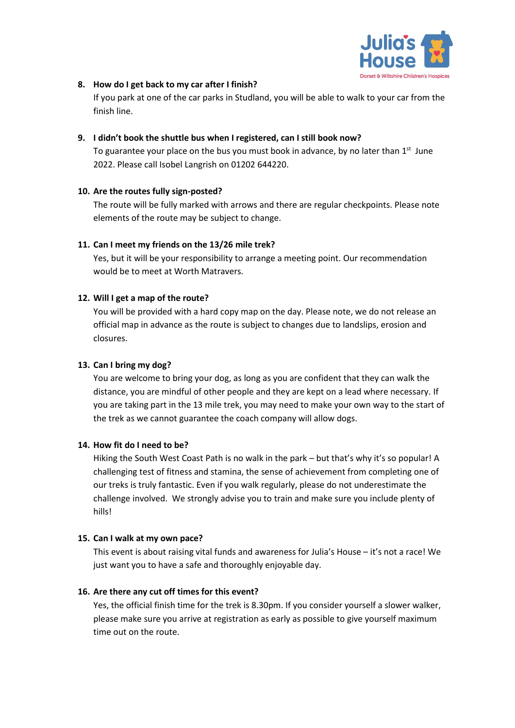

### **8. How do I get back to my car after I finish?**

If you park at one of the car parks in Studland, you will be able to walk to your car from the finish line.

### **9. I didn't book the shuttle bus when I registered, can I still book now?**

To guarantee your place on the bus you must book in advance, by no later than  $1<sup>st</sup>$  June 2022. Please call Isobel Langrish on 01202 644220.

## **10. Are the routes fully sign-posted?**

The route will be fully marked with arrows and there are regular checkpoints. Please note elements of the route may be subject to change.

## **11. Can I meet my friends on the 13/26 mile trek?**

Yes, but it will be your responsibility to arrange a meeting point. Our recommendation would be to meet at Worth Matravers.

## **12. Will I get a map of the route?**

You will be provided with a hard copy map on the day. Please note, we do not release an official map in advance as the route is subject to changes due to landslips, erosion and closures.

### **13. Can I bring my dog?**

You are welcome to bring your dog, as long as you are confident that they can walk the distance, you are mindful of other people and they are kept on a lead where necessary. If you are taking part in the 13 mile trek, you may need to make your own way to the start of the trek as we cannot guarantee the coach company will allow dogs.

## **14. How fit do I need to be?**

Hiking the South West Coast Path is no walk in the park – but that's why it's so popular! A challenging test of fitness and stamina, the sense of achievement from completing one of our treks is truly fantastic. Even if you walk regularly, please do not underestimate the challenge involved. We strongly advise you to train and make sure you include plenty of hills!

## **15. Can I walk at my own pace?**

This event is about raising vital funds and awareness for Julia's House – it's not a race! We just want you to have a safe and thoroughly enjoyable day.

## **16. Are there any cut off times for this event?**

Yes, the official finish time for the trek is 8.30pm. If you consider yourself a slower walker, please make sure you arrive at registration as early as possible to give yourself maximum time out on the route.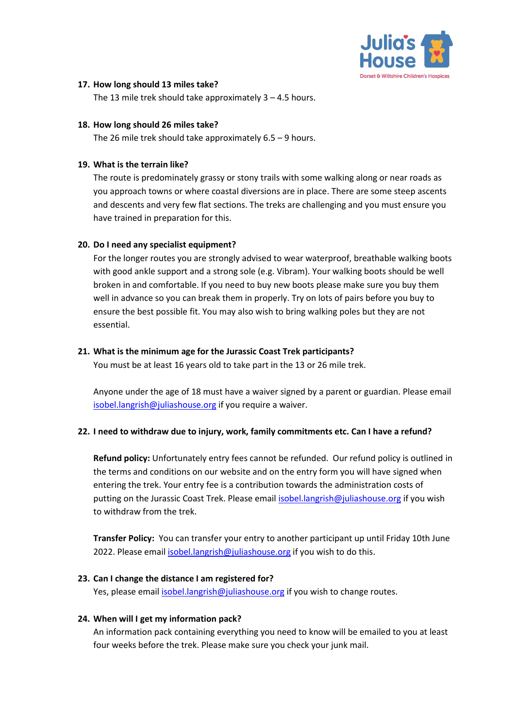

#### **17. How long should 13 miles take?**

The 13 mile trek should take approximately 3 – 4.5 hours.

#### **18. How long should 26 miles take?**

The 26 mile trek should take approximately 6.5 – 9 hours.

#### **19. What is the terrain like?**

The route is predominately grassy or stony trails with some walking along or near roads as you approach towns or where coastal diversions are in place. There are some steep ascents and descents and very few flat sections. The treks are challenging and you must ensure you have trained in preparation for this.

#### **20. Do I need any specialist equipment?**

For the longer routes you are strongly advised to wear waterproof, breathable walking boots with good ankle support and a strong sole (e.g. Vibram). Your walking boots should be well broken in and comfortable. If you need to buy new boots please make sure you buy them well in advance so you can break them in properly. Try on lots of pairs before you buy to ensure the best possible fit. You may also wish to bring walking poles but they are not essential.

#### **21. What is the minimum age for the Jurassic Coast Trek participants?**

You must be at least 16 years old to take part in the 13 or 26 mile trek.

Anyone under the age of 18 must have a waiver signed by a parent or guardian. Please email [isobel.langrish@juliashouse.org](mailto:isobel.langrish@juliashouse.org) if you require a waiver.

## **22. I need to withdraw due to injury, work, family commitments etc. Can I have a refund?**

**Refund policy:** Unfortunately entry fees cannot be refunded. Our refund policy is outlined in the terms and conditions on our website and on the entry form you will have signed when entering the trek. Your entry fee is a contribution towards the administration costs of putting on the Jurassic Coast Trek. Please emai[l isobel.langrish@juliashouse.org](mailto:isobel.langrish@juliashouse.org) if you wish to withdraw from the trek.

**Transfer Policy:** You can transfer your entry to another participant up until Friday 10th June 2022. Please email [isobel.langrish@juliashouse.org](mailto:isobel.langrish@juliashouse.org) if you wish to do this.

## **23. Can I change the distance I am registered for?**

Yes, please emai[l isobel.langrish@juliashouse.org](mailto:isobel.langrish@juliashouse.org) if you wish to change routes.

#### **24. When will I get my information pack?**

An information pack containing everything you need to know will be emailed to you at least four weeks before the trek. Please make sure you check your junk mail.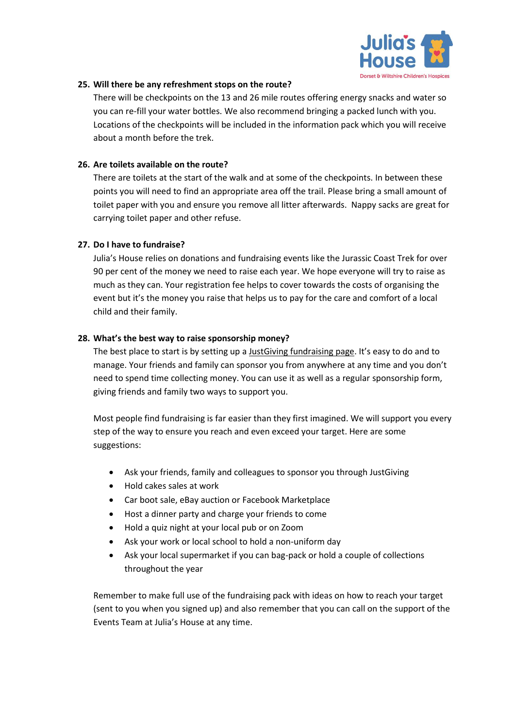

#### **25. Will there be any refreshment stops on the route?**

There will be checkpoints on the 13 and 26 mile routes offering energy snacks and water so you can re-fill your water bottles. We also recommend bringing a packed lunch with you. Locations of the checkpoints will be included in the information pack which you will receive about a month before the trek.

### **26. Are toilets available on the route?**

There are toilets at the start of the walk and at some of the checkpoints. In between these points you will need to find an appropriate area off the trail. Please bring a small amount of toilet paper with you and ensure you remove all litter afterwards. Nappy sacks are great for carrying toilet paper and other refuse.

#### **27. Do I have to fundraise?**

Julia's House relies on donations and fundraising events like the Jurassic Coast Trek for over 90 per cent of the money we need to raise each year. We hope everyone will try to raise as much as they can. Your registration fee helps to cover towards the costs of organising the event but it's the money you raise that helps us to pay for the care and comfort of a local child and their family.

#### **28. What's the best way to raise sponsorship money?**

The best place to start is by setting up [a JustGiving fundraising page](https://www.justgiving.com/). It's easy to do and to manage. Your friends and family can sponsor you from anywhere at any time and you don't need to spend time collecting money. You can use it as well as a regular sponsorship form, giving friends and family two ways to support you.

Most people find fundraising is far easier than they first imagined. We will support you every step of the way to ensure you reach and even exceed your target. Here are some suggestions:

- Ask your friends, family and colleagues to sponsor you through JustGiving
- Hold cakes sales at work
- Car boot sale, eBay auction or Facebook Marketplace
- Host a dinner party and charge your friends to come
- Hold a quiz night at your local pub or on Zoom
- Ask your work or local school to hold a non-uniform day
- Ask your local supermarket if you can bag-pack or hold a couple of collections throughout the year

Remember to make full use of the fundraising pack with ideas on how to reach your target (sent to you when you signed up) and also remember that you can call on the support of the Events Team at Julia's House at any time.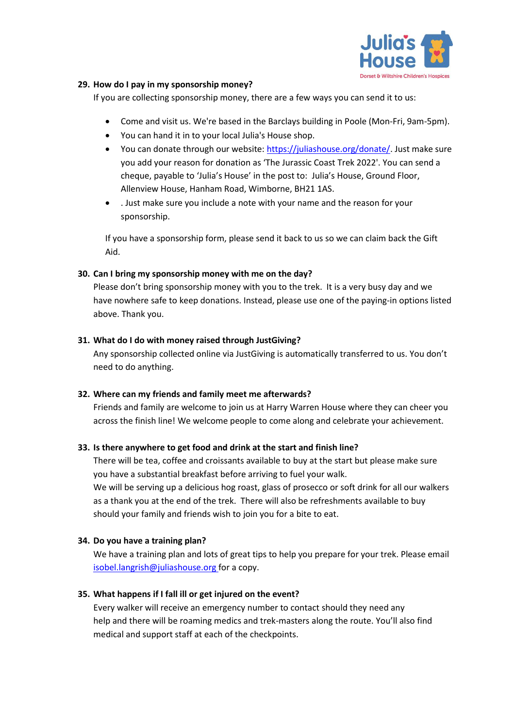

### **29. How do I pay in my sponsorship money?**

If you are collecting sponsorship money, there are a few ways you can send it to us:

- Come and visit us. We're based in the Barclays building in Poole (Mon-Fri, 9am-5pm).
- You can hand it in to your local Julia's House shop.
- You can donate through our website: [https://juliashouse.org/donate/.](https://juliashouse.org/donate/) Just make sure you add your reason for donation as 'The Jurassic Coast Trek 2022'. You can send a cheque, payable to 'Julia's House' in the post to: Julia's House, Ground Floor, Allenview House, Hanham Road, Wimborne, BH21 1AS.
- . Just make sure you include a note with your name and the reason for your sponsorship.

If you have a sponsorship form, please send it back to us so we can claim back the Gift Aid.

#### **30. Can I bring my sponsorship money with me on the day?**

Please don't bring sponsorship money with you to the trek. It is a very busy day and we have nowhere safe to keep donations. Instead, please use one of the paying-in options listed above. Thank you.

#### **31. What do I do with money raised through JustGiving?**

Any sponsorship collected online via JustGiving is automatically transferred to us. You don't need to do anything.

## **32. Where can my friends and family meet me afterwards?**

Friends and family are welcome to join us at Harry Warren House where they can cheer you across the finish line! We welcome people to come along and celebrate your achievement.

## **33. Is there anywhere to get food and drink at the start and finish line?**

There will be tea, coffee and croissants available to buy at the start but please make sure you have a substantial breakfast before arriving to fuel your walk. We will be serving up a delicious hog roast, glass of prosecco or soft drink for all our walkers as a thank you at the end of the trek. There will also be refreshments available to buy should your family and friends wish to join you for a bite to eat.

## **34. Do you have a training plan?**

We have a training plan and lots of great tips to help you prepare for your trek. Please email [isobel.langrish@juliashouse.org](mailto:isobel.langrish@juliashouse.org) for a copy.

## **35. What happens if I fall ill or get injured on the event?**

Every walker will receive an emergency number to contact should they need any help and there will be roaming medics and trek-masters along the route. You'll also find medical and support staff at each of the checkpoints.